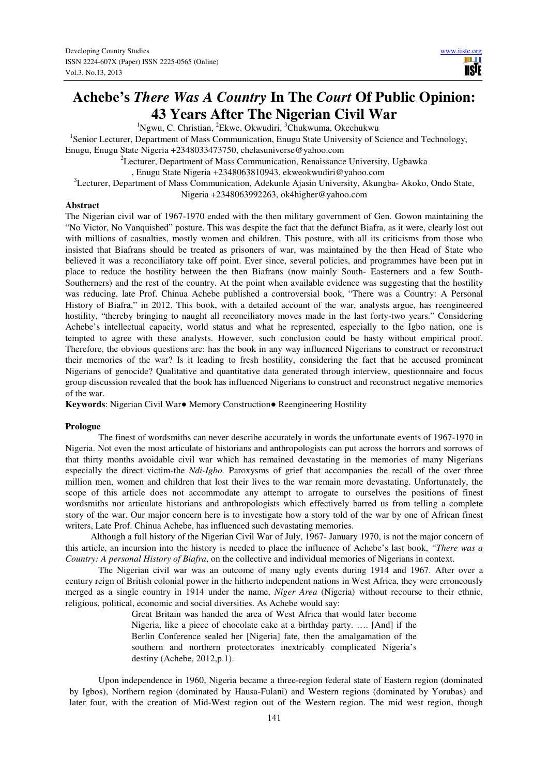# **Achebe's** *There Was A Country* **In The** *Court* **Of Public Opinion: 43 Years After The Nigerian Civil War**

 ${}^{1}$ Ngwu, C. Christian, <sup>2</sup>Ekwe, Okwudiri, <sup>3</sup>Chukwuma, Okechukwu

<sup>1</sup>Senior Lecturer, Department of Mass Communication, Enugu State University of Science and Technology, Enugu, Enugu State Nigeria +2348033473750, chelasuniverse@yahoo.com

 ${}^{2}$ Lecturer, Department of Mass Communication, Renaissance University, Ugbawka

, Enugu State Nigeria +2348063810943, ekweokwudiri@yahoo.com

<sup>3</sup>Lecturer, Department of Mass Communication, Adekunle Ajasin University, Akungba- Akoko, Ondo State,

Nigeria +2348063992263, ok4higher@yahoo.com

### **Abstract**

The Nigerian civil war of 1967-1970 ended with the then military government of Gen. Gowon maintaining the "No Victor, No Vanquished" posture. This was despite the fact that the defunct Biafra, as it were, clearly lost out with millions of casualties, mostly women and children. This posture, with all its criticisms from those who insisted that Biafrans should be treated as prisoners of war, was maintained by the then Head of State who believed it was a reconciliatory take off point. Ever since, several policies, and programmes have been put in place to reduce the hostility between the then Biafrans (now mainly South- Easterners and a few South-Southerners) and the rest of the country. At the point when available evidence was suggesting that the hostility was reducing, late Prof. Chinua Achebe published a controversial book, "There was a Country: A Personal History of Biafra," in 2012. This book, with a detailed account of the war, analysts argue, has reengineered hostility, "thereby bringing to naught all reconciliatory moves made in the last forty-two years." Considering Achebe's intellectual capacity, world status and what he represented, especially to the Igbo nation, one is tempted to agree with these analysts. However, such conclusion could be hasty without empirical proof. Therefore, the obvious questions are: has the book in any way influenced Nigerians to construct or reconstruct their memories of the war? Is it leading to fresh hostility, considering the fact that he accused prominent Nigerians of genocide? Qualitative and quantitative data generated through interview, questionnaire and focus group discussion revealed that the book has influenced Nigerians to construct and reconstruct negative memories of the war.

**Keywords**: Nigerian Civil War● Memory Construction● Reengineering Hostility

### **Prologue**

 The finest of wordsmiths can never describe accurately in words the unfortunate events of 1967-1970 in Nigeria. Not even the most articulate of historians and anthropologists can put across the horrors and sorrows of that thirty months avoidable civil war which has remained devastating in the memories of many Nigerians especially the direct victim-the *Ndi-Igbo.* Paroxysms of grief that accompanies the recall of the over three million men, women and children that lost their lives to the war remain more devastating. Unfortunately, the scope of this article does not accommodate any attempt to arrogate to ourselves the positions of finest wordsmiths nor articulate historians and anthropologists which effectively barred us from telling a complete story of the war. Our major concern here is to investigate how a story told of the war by one of African finest writers, Late Prof. Chinua Achebe, has influenced such devastating memories.

 Although a full history of the Nigerian Civil War of July, 1967- January 1970, is not the major concern of this article, an incursion into the history is needed to place the influence of Achebe's last book, *"There was a Country: A personal History of Biafra*, on the collective and individual memories of Nigerians in context.

 The Nigerian civil war was an outcome of many ugly events during 1914 and 1967. After over a century reign of British colonial power in the hitherto independent nations in West Africa, they were erroneously merged as a single country in 1914 under the name, *Niger Area* (Nigeria) without recourse to their ethnic, religious, political, economic and social diversities. As Achebe would say:

> Great Britain was handed the area of West Africa that would later become Nigeria, like a piece of chocolate cake at a birthday party. …. [And] if the Berlin Conference sealed her [Nigeria] fate, then the amalgamation of the southern and northern protectorates inextricably complicated Nigeria's destiny (Achebe, 2012,p.1).

 Upon independence in 1960, Nigeria became a three-region federal state of Eastern region (dominated by Igbos), Northern region (dominated by Hausa-Fulani) and Western regions (dominated by Yorubas) and later four, with the creation of Mid-West region out of the Western region. The mid west region, though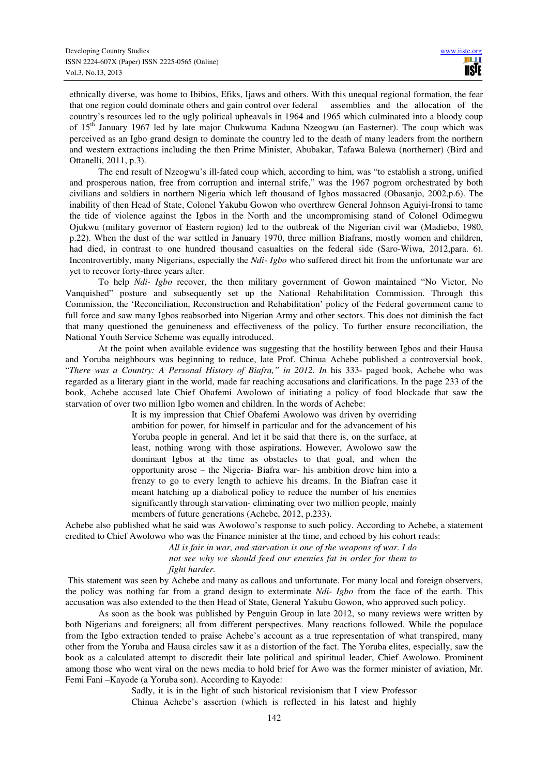ethnically diverse, was home to Ibibios, Efiks, Ijaws and others. With this unequal regional formation, the fear that one region could dominate others and gain control over federal assemblies and the allocation of the country's resources led to the ugly political upheavals in 1964 and 1965 which culminated into a bloody coup of 15<sup>th</sup> January 1967 led by late major Chukwuma Kaduna Nzeogwu (an Easterner). The coup which was perceived as an Igbo grand design to dominate the country led to the death of many leaders from the northern and western extractions including the then Prime Minister, Abubakar, Tafawa Balewa (northerner) (Bird and Ottanelli, 2011, p.3).

 The end result of Nzeogwu's ill-fated coup which, according to him, was "to establish a strong, unified and prosperous nation, free from corruption and internal strife," was the 1967 pogrom orchestrated by both civilians and soldiers in northern Nigeria which left thousand of Igbos massacred (Obasanjo, 2002,p.6). The inability of then Head of State, Colonel Yakubu Gowon who overthrew General Johnson Aguiyi-Ironsi to tame the tide of violence against the Igbos in the North and the uncompromising stand of Colonel Odimegwu Ojukwu (military governor of Eastern region) led to the outbreak of the Nigerian civil war (Madiebo, 1980, p.22). When the dust of the war settled in January 1970, three million Biafrans, mostly women and children, had died, in contrast to one hundred thousand casualties on the federal side (Saro-Wiwa, 2012,para. 6). Incontrovertibly, many Nigerians, especially the *Ndi- Igbo* who suffered direct hit from the unfortunate war are yet to recover forty-three years after.

 To help *Ndi- Igbo* recover, the then military government of Gowon maintained "No Victor, No Vanquished" posture and subsequently set up the National Rehabilitation Commission. Through this Commission, the 'Reconciliation, Reconstruction and Rehabilitation' policy of the Federal government came to full force and saw many Igbos reabsorbed into Nigerian Army and other sectors. This does not diminish the fact that many questioned the genuineness and effectiveness of the policy. To further ensure reconciliation, the National Youth Service Scheme was equally introduced.

 At the point when available evidence was suggesting that the hostility between Igbos and their Hausa and Yoruba neighbours was beginning to reduce, late Prof. Chinua Achebe published a controversial book, "*There was a Country: A Personal History of Biafra," in 2012. In* his 333- paged book, Achebe who was regarded as a literary giant in the world, made far reaching accusations and clarifications. In the page 233 of the book, Achebe accused late Chief Obafemi Awolowo of initiating a policy of food blockade that saw the starvation of over two million Igbo women and children. In the words of Achebe:

> It is my impression that Chief Obafemi Awolowo was driven by overriding ambition for power, for himself in particular and for the advancement of his Yoruba people in general. And let it be said that there is, on the surface, at least, nothing wrong with those aspirations. However, Awolowo saw the dominant Igbos at the time as obstacles to that goal, and when the opportunity arose – the Nigeria- Biafra war- his ambition drove him into a frenzy to go to every length to achieve his dreams. In the Biafran case it meant hatching up a diabolical policy to reduce the number of his enemies significantly through starvation- eliminating over two million people, mainly members of future generations (Achebe, 2012, p.233).

Achebe also published what he said was Awolowo's response to such policy. According to Achebe, a statement credited to Chief Awolowo who was the Finance minister at the time, and echoed by his cohort reads:

> *All is fair in war, and starvation is one of the weapons of war. I do not see why we should feed our enemies fat in order for them to fight harder.*

This statement was seen by Achebe and many as callous and unfortunate. For many local and foreign observers, the policy was nothing far from a grand design to exterminate *Ndi- Igbo* from the face of the earth. This accusation was also extended to the then Head of State, General Yakubu Gowon, who approved such policy.

 As soon as the book was published by Penguin Group in late 2012, so many reviews were written by both Nigerians and foreigners; all from different perspectives. Many reactions followed. While the populace from the Igbo extraction tended to praise Achebe's account as a true representation of what transpired, many other from the Yoruba and Hausa circles saw it as a distortion of the fact. The Yoruba elites, especially, saw the book as a calculated attempt to discredit their late political and spiritual leader, Chief Awolowo. Prominent among those who went viral on the news media to hold brief for Awo was the former minister of aviation, Mr. Femi Fani –Kayode (a Yoruba son). According to Kayode:

> Sadly, it is in the light of such historical revisionism that I view Professor Chinua Achebe's assertion (which is reflected in his latest and highly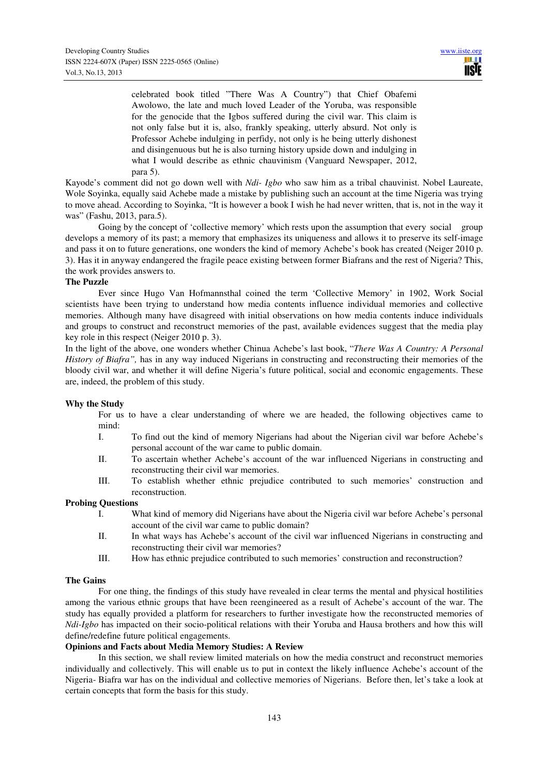celebrated book titled "There Was A Country") that Chief Obafemi Awolowo, the late and much loved Leader of the Yoruba, was responsible for the genocide that the Igbos suffered during the civil war. This claim is not only false but it is, also, frankly speaking, utterly absurd. Not only is Professor Achebe indulging in perfidy, not only is he being utterly dishonest and disingenuous but he is also turning history upside down and indulging in what I would describe as ethnic chauvinism (Vanguard Newspaper, 2012, para 5).

Kayode's comment did not go down well with *Ndi- Igbo* who saw him as a tribal chauvinist. Nobel Laureate, Wole Soyinka, equally said Achebe made a mistake by publishing such an account at the time Nigeria was trying to move ahead. According to Soyinka, "It is however a book I wish he had never written, that is, not in the way it was" (Fashu, 2013, para.5).

Going by the concept of 'collective memory' which rests upon the assumption that every social group develops a memory of its past; a memory that emphasizes its uniqueness and allows it to preserve its self-image and pass it on to future generations, one wonders the kind of memory Achebe's book has created (Neiger 2010 p. 3). Has it in anyway endangered the fragile peace existing between former Biafrans and the rest of Nigeria? This, the work provides answers to.

### **The Puzzle**

 Ever since Hugo Van Hofmannsthal coined the term 'Collective Memory' in 1902, Work Social scientists have been trying to understand how media contents influence individual memories and collective memories. Although many have disagreed with initial observations on how media contents induce individuals and groups to construct and reconstruct memories of the past, available evidences suggest that the media play key role in this respect (Neiger 2010 p. 3).

In the light of the above, one wonders whether Chinua Achebe's last book, "*There Was A Country: A Personal History of Biafra",* has in any way induced Nigerians in constructing and reconstructing their memories of the bloody civil war, and whether it will define Nigeria's future political, social and economic engagements. These are, indeed, the problem of this study.

### **Why the Study**

 For us to have a clear understanding of where we are headed, the following objectives came to mind:

- I. To find out the kind of memory Nigerians had about the Nigerian civil war before Achebe's personal account of the war came to public domain.
- II. To ascertain whether Achebe's account of the war influenced Nigerians in constructing and reconstructing their civil war memories.
- III. To establish whether ethnic prejudice contributed to such memories' construction and reconstruction.

### **Probing Questions**

- I. What kind of memory did Nigerians have about the Nigeria civil war before Achebe's personal account of the civil war came to public domain?
- II. In what ways has Achebe's account of the civil war influenced Nigerians in constructing and reconstructing their civil war memories?
- III. How has ethnic prejudice contributed to such memories' construction and reconstruction?

### **The Gains**

 For one thing, the findings of this study have revealed in clear terms the mental and physical hostilities among the various ethnic groups that have been reengineered as a result of Achebe's account of the war. The study has equally provided a platform for researchers to further investigate how the reconstructed memories of *Ndi-Igbo* has impacted on their socio-political relations with their Yoruba and Hausa brothers and how this will define/redefine future political engagements.

### **Opinions and Facts about Media Memory Studies: A Review**

 In this section, we shall review limited materials on how the media construct and reconstruct memories individually and collectively. This will enable us to put in context the likely influence Achebe's account of the Nigeria- Biafra war has on the individual and collective memories of Nigerians. Before then, let's take a look at certain concepts that form the basis for this study.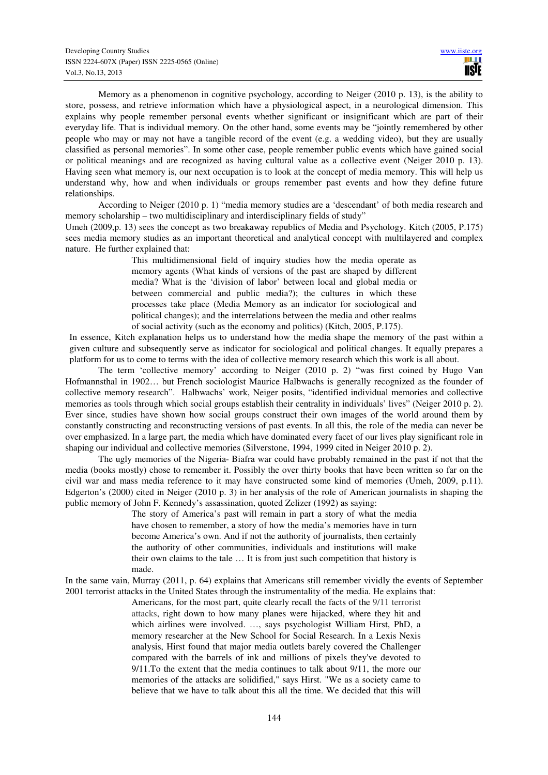Memory as a phenomenon in cognitive psychology, according to Neiger (2010 p. 13), is the ability to store, possess, and retrieve information which have a physiological aspect, in a neurological dimension. This explains why people remember personal events whether significant or insignificant which are part of their everyday life. That is individual memory. On the other hand, some events may be "jointly remembered by other people who may or may not have a tangible record of the event (e.g. a wedding video), but they are usually classified as personal memories". In some other case, people remember public events which have gained social or political meanings and are recognized as having cultural value as a collective event (Neiger 2010 p. 13). Having seen what memory is, our next occupation is to look at the concept of media memory. This will help us understand why, how and when individuals or groups remember past events and how they define future relationships.

 According to Neiger (2010 p. 1) "media memory studies are a 'descendant' of both media research and memory scholarship – two multidisciplinary and interdisciplinary fields of study"

Umeh (2009,p. 13) sees the concept as two breakaway republics of Media and Psychology. Kitch (2005, P.175) sees media memory studies as an important theoretical and analytical concept with multilayered and complex nature. He further explained that:

> This multidimensional field of inquiry studies how the media operate as memory agents (What kinds of versions of the past are shaped by different media? What is the 'division of labor' between local and global media or between commercial and public media?); the cultures in which these processes take place (Media Memory as an indicator for sociological and political changes); and the interrelations between the media and other realms of social activity (such as the economy and politics) (Kitch, 2005, P.175).

In essence, Kitch explanation helps us to understand how the media shape the memory of the past within a given culture and subsequently serve as indicator for sociological and political changes. It equally prepares a platform for us to come to terms with the idea of collective memory research which this work is all about.

 The term 'collective memory' according to Neiger (2010 p. 2) "was first coined by Hugo Van Hofmannsthal in 1902… but French sociologist Maurice Halbwachs is generally recognized as the founder of collective memory research". Halbwachs' work, Neiger posits, "identified individual memories and collective memories as tools through which social groups establish their centrality in individuals' lives" (Neiger 2010 p. 2). Ever since, studies have shown how social groups construct their own images of the world around them by constantly constructing and reconstructing versions of past events. In all this, the role of the media can never be over emphasized. In a large part, the media which have dominated every facet of our lives play significant role in shaping our individual and collective memories (Silverstone, 1994, 1999 cited in Neiger 2010 p. 2).

 The ugly memories of the Nigeria- Biafra war could have probably remained in the past if not that the media (books mostly) chose to remember it. Possibly the over thirty books that have been written so far on the civil war and mass media reference to it may have constructed some kind of memories (Umeh, 2009, p.11). Edgerton's (2000) cited in Neiger (2010 p. 3) in her analysis of the role of American journalists in shaping the public memory of John F. Kennedy's assassination, quoted Zelizer (1992) as saying:

> The story of America's past will remain in part a story of what the media have chosen to remember, a story of how the media's memories have in turn become America's own. And if not the authority of journalists, then certainly the authority of other communities, individuals and institutions will make their own claims to the tale … It is from just such competition that history is made.

In the same vain, Murray (2011, p. 64) explains that Americans still remember vividly the events of September 2001 terrorist attacks in the United States through the instrumentality of the media. He explains that:

> Americans, for the most part, quite clearly recall the facts of the 9/11 terrorist attacks, right down to how many planes were hijacked, where they hit and which airlines were involved. …, says psychologist William Hirst, PhD, a memory researcher at the New School for Social Research. In a Lexis Nexis analysis, Hirst found that major media outlets barely covered the Challenger compared with the barrels of ink and millions of pixels they've devoted to 9/11.To the extent that the media continues to talk about 9/11, the more our memories of the attacks are solidified," says Hirst. "We as a society came to believe that we have to talk about this all the time. We decided that this will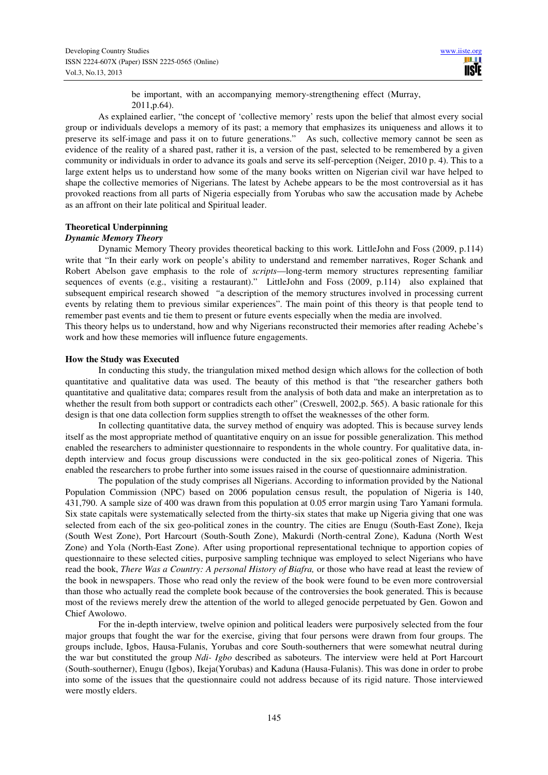be important, with an accompanying memory-strengthening effect (Murray, 2011,p.64).

 As explained earlier, "the concept of 'collective memory' rests upon the belief that almost every social group or individuals develops a memory of its past; a memory that emphasizes its uniqueness and allows it to preserve its self-image and pass it on to future generations." As such, collective memory cannot be seen as evidence of the reality of a shared past, rather it is, a version of the past, selected to be remembered by a given community or individuals in order to advance its goals and serve its self-perception (Neiger, 2010 p. 4). This to a large extent helps us to understand how some of the many books written on Nigerian civil war have helped to shape the collective memories of Nigerians. The latest by Achebe appears to be the most controversial as it has provoked reactions from all parts of Nigeria especially from Yorubas who saw the accusation made by Achebe as an affront on their late political and Spiritual leader.

#### **Theoretical Underpinning**

### *Dynamic Memory Theory*

 Dynamic Memory Theory provides theoretical backing to this work*.* LittleJohn and Foss (2009, p.114) write that "In their early work on people's ability to understand and remember narratives, Roger Schank and Robert Abelson gave emphasis to the role of *scripts*—long-term memory structures representing familiar sequences of events (e.g., visiting a restaurant)." LittleJohn and Foss (2009, p.114) also explained that subsequent empirical research showed *"*a description of the memory structures involved in processing current events by relating them to previous similar experiences". The main point of this theory is that people tend to remember past events and tie them to present or future events especially when the media are involved.

This theory helps us to understand, how and why Nigerians reconstructed their memories after reading Achebe's work and how these memories will influence future engagements.

### **How the Study was Executed**

In conducting this study, the triangulation mixed method design which allows for the collection of both quantitative and qualitative data was used. The beauty of this method is that "the researcher gathers both quantitative and qualitative data; compares result from the analysis of both data and make an interpretation as to whether the result from both support or contradicts each other" (Creswell, 2002,p. 565). A basic rationale for this design is that one data collection form supplies strength to offset the weaknesses of the other form.

In collecting quantitative data, the survey method of enquiry was adopted. This is because survey lends itself as the most appropriate method of quantitative enquiry on an issue for possible generalization. This method enabled the researchers to administer questionnaire to respondents in the whole country. For qualitative data, indepth interview and focus group discussions were conducted in the six geo-political zones of Nigeria. This enabled the researchers to probe further into some issues raised in the course of questionnaire administration.

 The population of the study comprises all Nigerians. According to information provided by the National Population Commission (NPC) based on 2006 population census result, the population of Nigeria is 140, 431,790. A sample size of 400 was drawn from this population at 0.05 error margin using Taro Yamani formula. Six state capitals were systematically selected from the thirty-six states that make up Nigeria giving that one was selected from each of the six geo-political zones in the country. The cities are Enugu (South-East Zone), Ikeja (South West Zone), Port Harcourt (South-South Zone), Makurdi (North-central Zone), Kaduna (North West Zone) and Yola (North-East Zone). After using proportional representational technique to apportion copies of questionnaire to these selected cities, purposive sampling technique was employed to select Nigerians who have read the book, *There Was a Country: A personal History of Biafra,* or those who have read at least the review of the book in newspapers. Those who read only the review of the book were found to be even more controversial than those who actually read the complete book because of the controversies the book generated. This is because most of the reviews merely drew the attention of the world to alleged genocide perpetuated by Gen. Gowon and Chief Awolowo.

 For the in-depth interview, twelve opinion and political leaders were purposively selected from the four major groups that fought the war for the exercise, giving that four persons were drawn from four groups. The groups include, Igbos, Hausa-Fulanis, Yorubas and core South-southerners that were somewhat neutral during the war but constituted the group *Ndi- Igbo* described as saboteurs. The interview were held at Port Harcourt (South-southerner), Enugu (Igbos), Ikeja(Yorubas) and Kaduna (Hausa-Fulanis). This was done in order to probe into some of the issues that the questionnaire could not address because of its rigid nature. Those interviewed were mostly elders.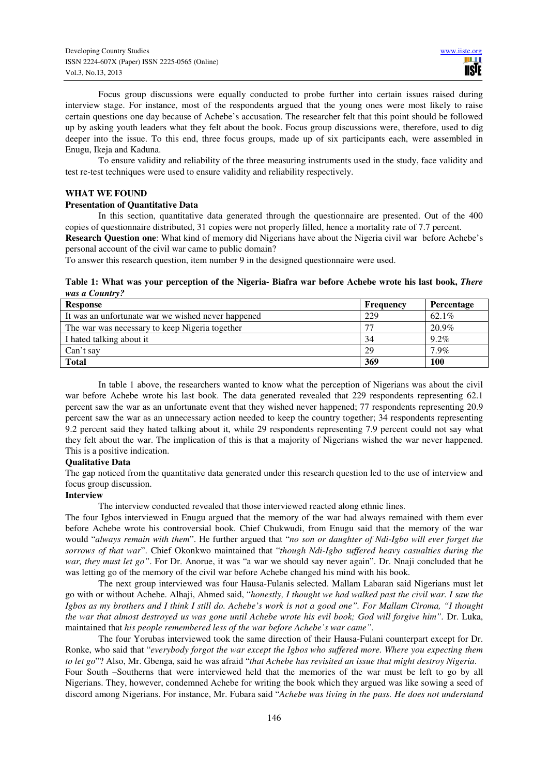Focus group discussions were equally conducted to probe further into certain issues raised during interview stage. For instance, most of the respondents argued that the young ones were most likely to raise certain questions one day because of Achebe's accusation. The researcher felt that this point should be followed up by asking youth leaders what they felt about the book. Focus group discussions were, therefore, used to dig deeper into the issue. To this end, three focus groups, made up of six participants each, were assembled in Enugu, Ikeja and Kaduna.

 To ensure validity and reliability of the three measuring instruments used in the study, face validity and test re-test techniques were used to ensure validity and reliability respectively.

### **WHAT WE FOUND**

### **Presentation of Quantitative Data**

 In this section, quantitative data generated through the questionnaire are presented. Out of the 400 copies of questionnaire distributed, 31 copies were not properly filled, hence a mortality rate of 7.7 percent.

**Research Question one**: What kind of memory did Nigerians have about the Nigeria civil war before Achebe's personal account of the civil war came to public domain?

To answer this research question, item number 9 in the designed questionnaire were used.

### **Table 1: What was your perception of the Nigeria- Biafra war before Achebe wrote his last book,** *There was a Country?*

| <b>Response</b>                                    | Frequency | Percentage |
|----------------------------------------------------|-----------|------------|
| It was an unfortunate war we wished never happened | 229       | 62.1%      |
| The war was necessary to keep Nigeria together     |           | 20.9%      |
| I hated talking about it                           | 34        | $9.2\%$    |
| Can't say                                          | 29        | $7.9\%$    |
| <b>Total</b>                                       | 369       | 100        |

 In table 1 above, the researchers wanted to know what the perception of Nigerians was about the civil war before Achebe wrote his last book. The data generated revealed that 229 respondents representing 62.1 percent saw the war as an unfortunate event that they wished never happened; 77 respondents representing 20.9 percent saw the war as an unnecessary action needed to keep the country together; 34 respondents representing 9.2 percent said they hated talking about it, while 29 respondents representing 7.9 percent could not say what they felt about the war. The implication of this is that a majority of Nigerians wished the war never happened. This is a positive indication.

### **Qualitative Data**

The gap noticed from the quantitative data generated under this research question led to the use of interview and focus group discussion.

### **Interview**

The interview conducted revealed that those interviewed reacted along ethnic lines.

The four Igbos interviewed in Enugu argued that the memory of the war had always remained with them ever before Achebe wrote his controversial book. Chief Chukwudi, from Enugu said that the memory of the war would "*always remain with them*". He further argued that "*no son or daughter of Ndi-Igbo will ever forget the sorrows of that war*". Chief Okonkwo maintained that "*though Ndi-Igbo suffered heavy casualties during the war, they must let go"*. For Dr. Anorue, it was "a war we should say never again". Dr. Nnaji concluded that he was letting go of the memory of the civil war before Achebe changed his mind with his book.

 The next group interviewed was four Hausa-Fulanis selected. Mallam Labaran said Nigerians must let go with or without Achebe. Alhaji, Ahmed said, "*honestly, I thought we had walked past the civil war. I saw the Igbos as my brothers and I think I still do. Achebe's work is not a good one". For Mallam Ciroma, "I thought the war that almost destroyed us was gone until Achebe wrote his evil book; God will forgive him".* Dr. Luka, maintained that *his people remembered less of the war before Achebe's war came".* 

 The four Yorubas interviewed took the same direction of their Hausa-Fulani counterpart except for Dr. Ronke, who said that "*everybody forgot the war except the Igbos who suffered more. Where you expecting them to let go*"? Also, Mr. Gbenga, said he was afraid "*that Achebe has revisited an issue that might destroy Nigeria*. Four South –Southerns that were interviewed held that the memories of the war must be left to go by all Nigerians. They, however, condemned Achebe for writing the book which they argued was like sowing a seed of discord among Nigerians. For instance, Mr. Fubara said "*Achebe was living in the pass. He does not understand*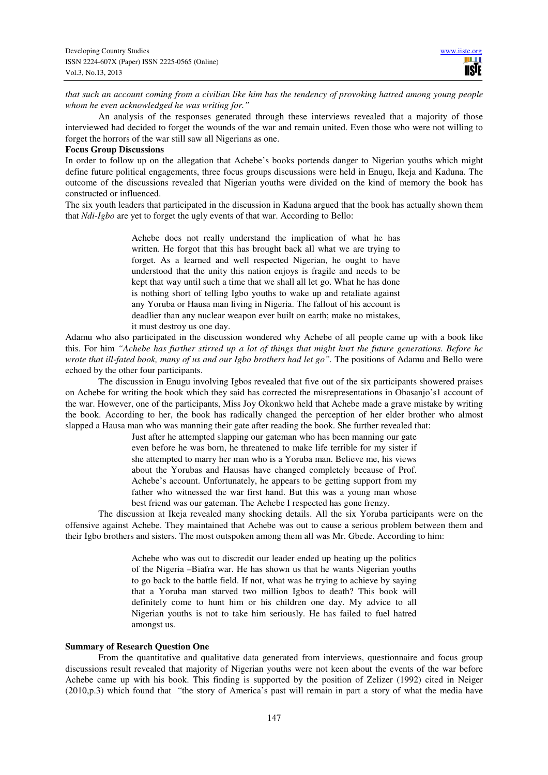*that such an account coming from a civilian like him has the tendency of provoking hatred among young people whom he even acknowledged he was writing for."* 

 An analysis of the responses generated through these interviews revealed that a majority of those interviewed had decided to forget the wounds of the war and remain united. Even those who were not willing to forget the horrors of the war still saw all Nigerians as one.

#### **Focus Group Discussions**

In order to follow up on the allegation that Achebe's books portends danger to Nigerian youths which might define future political engagements, three focus groups discussions were held in Enugu, Ikeja and Kaduna. The outcome of the discussions revealed that Nigerian youths were divided on the kind of memory the book has constructed or influenced.

The six youth leaders that participated in the discussion in Kaduna argued that the book has actually shown them that *Ndi-Igbo* are yet to forget the ugly events of that war. According to Bello:

> Achebe does not really understand the implication of what he has written. He forgot that this has brought back all what we are trying to forget. As a learned and well respected Nigerian, he ought to have understood that the unity this nation enjoys is fragile and needs to be kept that way until such a time that we shall all let go. What he has done is nothing short of telling Igbo youths to wake up and retaliate against any Yoruba or Hausa man living in Nigeria. The fallout of his account is deadlier than any nuclear weapon ever built on earth; make no mistakes, it must destroy us one day.

Adamu who also participated in the discussion wondered why Achebe of all people came up with a book like this. For him *"Achebe has further stirred up a lot of things that might hurt the future generations. Before he wrote that ill-fated book, many of us and our Igbo brothers had let go*". The positions of Adamu and Bello were echoed by the other four participants.

 The discussion in Enugu involving Igbos revealed that five out of the six participants showered praises on Achebe for writing the book which they said has corrected the misrepresentations in Obasanjo's1 account of the war. However, one of the participants, Miss Joy Okonkwo held that Achebe made a grave mistake by writing the book. According to her, the book has radically changed the perception of her elder brother who almost slapped a Hausa man who was manning their gate after reading the book. She further revealed that:

> Just after he attempted slapping our gateman who has been manning our gate even before he was born, he threatened to make life terrible for my sister if she attempted to marry her man who is a Yoruba man. Believe me, his views about the Yorubas and Hausas have changed completely because of Prof. Achebe's account. Unfortunately, he appears to be getting support from my father who witnessed the war first hand. But this was a young man whose best friend was our gateman. The Achebe I respected has gone frenzy.

 The discussion at Ikeja revealed many shocking details. All the six Yoruba participants were on the offensive against Achebe. They maintained that Achebe was out to cause a serious problem between them and their Igbo brothers and sisters. The most outspoken among them all was Mr. Gbede. According to him:

> Achebe who was out to discredit our leader ended up heating up the politics of the Nigeria –Biafra war. He has shown us that he wants Nigerian youths to go back to the battle field. If not, what was he trying to achieve by saying that a Yoruba man starved two million Igbos to death? This book will definitely come to hunt him or his children one day. My advice to all Nigerian youths is not to take him seriously. He has failed to fuel hatred amongst us.

### **Summary of Research Question One**

 From the quantitative and qualitative data generated from interviews, questionnaire and focus group discussions result revealed that majority of Nigerian youths were not keen about the events of the war before Achebe came up with his book. This finding is supported by the position of Zelizer (1992) cited in Neiger (2010,p.3) which found that "the story of America's past will remain in part a story of what the media have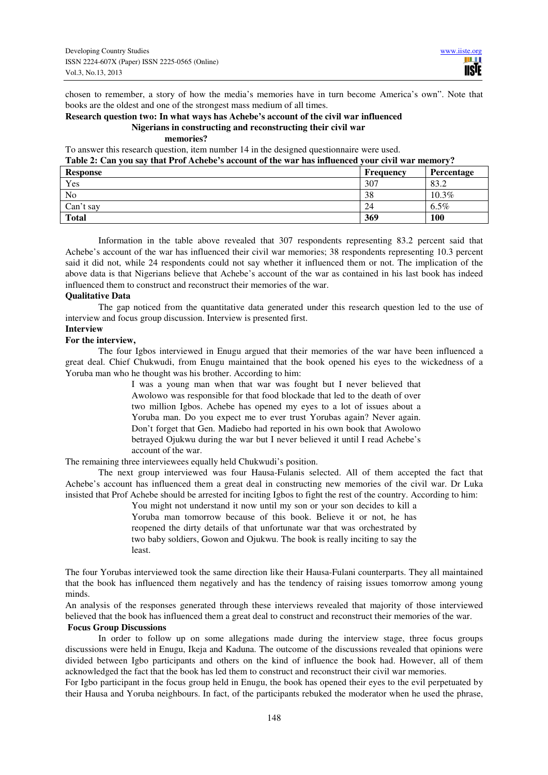chosen to remember, a story of how the media's memories have in turn become America's own". Note that books are the oldest and one of the strongest mass medium of all times.

## **Research question two: In what ways has Achebe's account of the civil war influenced Nigerians in constructing and reconstructing their civil war**

### **memories?**

To answer this research question, item number 14 in the designed questionnaire were used.

### **Table 2: Can you say that Prof Achebe's account of the war has influenced your civil war memory?**

| <b>Response</b> | Frequency | Percentage |
|-----------------|-----------|------------|
| Yes             | 307       | 83.2       |
| No              | 38        | $10.3\%$   |
| Can't say       | 24        | $6.5\%$    |
| <b>Total</b>    | 369       | 100        |

Information in the table above revealed that 307 respondents representing 83.2 percent said that Achebe's account of the war has influenced their civil war memories; 38 respondents representing 10.3 percent said it did not, while 24 respondents could not say whether it influenced them or not. The implication of the above data is that Nigerians believe that Achebe's account of the war as contained in his last book has indeed influenced them to construct and reconstruct their memories of the war.

### **Qualitative Data**

 The gap noticed from the quantitative data generated under this research question led to the use of interview and focus group discussion. Interview is presented first.

### **Interview**

### **For the interview,**

 The four Igbos interviewed in Enugu argued that their memories of the war have been influenced a great deal. Chief Chukwudi, from Enugu maintained that the book opened his eyes to the wickedness of a Yoruba man who he thought was his brother. According to him:

> I was a young man when that war was fought but I never believed that Awolowo was responsible for that food blockade that led to the death of over two million Igbos. Achebe has opened my eyes to a lot of issues about a Yoruba man. Do you expect me to ever trust Yorubas again? Never again. Don't forget that Gen. Madiebo had reported in his own book that Awolowo betrayed Ojukwu during the war but I never believed it until I read Achebe's account of the war.

The remaining three interviewees equally held Chukwudi's position.

 The next group interviewed was four Hausa-Fulanis selected. All of them accepted the fact that Achebe's account has influenced them a great deal in constructing new memories of the civil war. Dr Luka insisted that Prof Achebe should be arrested for inciting Igbos to fight the rest of the country. According to him:

> You might not understand it now until my son or your son decides to kill a Yoruba man tomorrow because of this book. Believe it or not, he has reopened the dirty details of that unfortunate war that was orchestrated by two baby soldiers, Gowon and Ojukwu. The book is really inciting to say the least.

The four Yorubas interviewed took the same direction like their Hausa-Fulani counterparts. They all maintained that the book has influenced them negatively and has the tendency of raising issues tomorrow among young minds.

An analysis of the responses generated through these interviews revealed that majority of those interviewed believed that the book has influenced them a great deal to construct and reconstruct their memories of the war.

### **Focus Group Discussions**

 In order to follow up on some allegations made during the interview stage, three focus groups discussions were held in Enugu, Ikeja and Kaduna. The outcome of the discussions revealed that opinions were divided between Igbo participants and others on the kind of influence the book had. However, all of them acknowledged the fact that the book has led them to construct and reconstruct their civil war memories.

For Igbo participant in the focus group held in Enugu, the book has opened their eyes to the evil perpetuated by their Hausa and Yoruba neighbours. In fact, of the participants rebuked the moderator when he used the phrase,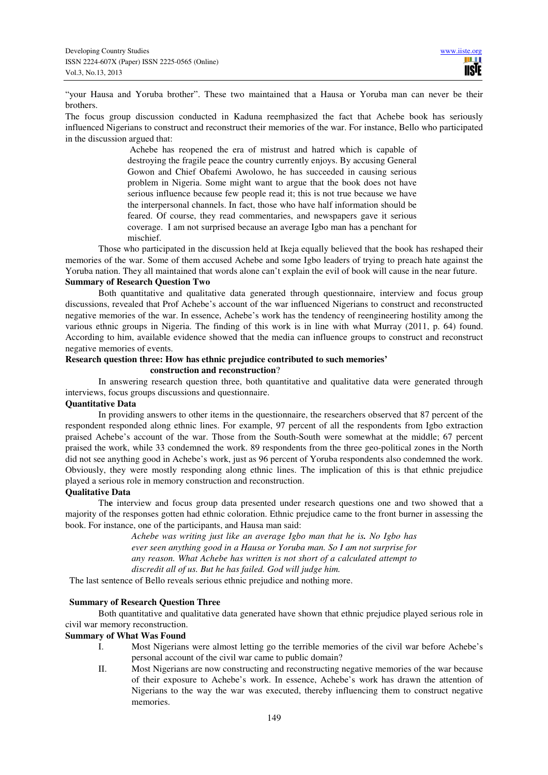"your Hausa and Yoruba brother". These two maintained that a Hausa or Yoruba man can never be their brothers.

The focus group discussion conducted in Kaduna reemphasized the fact that Achebe book has seriously influenced Nigerians to construct and reconstruct their memories of the war. For instance, Bello who participated in the discussion argued that:

> Achebe has reopened the era of mistrust and hatred which is capable of destroying the fragile peace the country currently enjoys. By accusing General Gowon and Chief Obafemi Awolowo, he has succeeded in causing serious problem in Nigeria. Some might want to argue that the book does not have serious influence because few people read it; this is not true because we have the interpersonal channels. In fact, those who have half information should be feared. Of course, they read commentaries, and newspapers gave it serious coverage. I am not surprised because an average Igbo man has a penchant for mischief.

 Those who participated in the discussion held at Ikeja equally believed that the book has reshaped their memories of the war. Some of them accused Achebe and some Igbo leaders of trying to preach hate against the Yoruba nation. They all maintained that words alone can't explain the evil of book will cause in the near future.

### **Summary of Research Question Two**

Both quantitative and qualitative data generated through questionnaire, interview and focus group discussions, revealed that Prof Achebe's account of the war influenced Nigerians to construct and reconstructed negative memories of the war. In essence, Achebe's work has the tendency of reengineering hostility among the various ethnic groups in Nigeria. The finding of this work is in line with what Murray (2011, p. 64) found. According to him, available evidence showed that the media can influence groups to construct and reconstruct negative memories of events.

# **Research question three: How has ethnic prejudice contributed to such memories'**

 **construction and reconstruction**?

 In answering research question three, both quantitative and qualitative data were generated through interviews, focus groups discussions and questionnaire.

### **Quantitative Data**

 In providing answers to other items in the questionnaire, the researchers observed that 87 percent of the respondent responded along ethnic lines. For example, 97 percent of all the respondents from Igbo extraction praised Achebe's account of the war. Those from the South-South were somewhat at the middle; 67 percent praised the work, while 33 condemned the work. 89 respondents from the three geo-political zones in the North did not see anything good in Achebe's work, just as 96 percent of Yoruba respondents also condemned the work. Obviously, they were mostly responding along ethnic lines. The implication of this is that ethnic prejudice played a serious role in memory construction and reconstruction.

### **Qualitative Data**

 Th**e** interview and focus group data presented under research questions one and two showed that a majority of the responses gotten had ethnic coloration. Ethnic prejudice came to the front burner in assessing the book. For instance, one of the participants, and Hausa man said:

> *Achebe was writing just like an average Igbo man that he is. No Igbo has ever seen anything good in a Hausa or Yoruba man. So I am not surprise for any reason. What Achebe has written is not short of a calculated attempt to discredit all of us. But he has failed. God will judge him.*

The last sentence of Bello reveals serious ethnic prejudice and nothing more.

### **Summary of Research Question Three**

 Both quantitative and qualitative data generated have shown that ethnic prejudice played serious role in civil war memory reconstruction.

### **Summary of What Was Found**

- I. Most Nigerians were almost letting go the terrible memories of the civil war before Achebe's personal account of the civil war came to public domain?
- II. Most Nigerians are now constructing and reconstructing negative memories of the war because of their exposure to Achebe's work. In essence, Achebe's work has drawn the attention of Nigerians to the way the war was executed, thereby influencing them to construct negative memories.